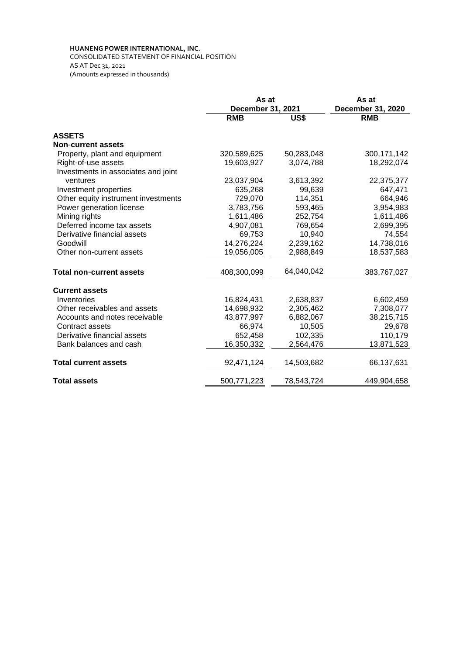## **HUANENG POWER INTERNATIONAL, INC.**

CONSOLIDATED STATEMENT OF FINANCIAL POSITION AS AT Dec 31, 2021 (Amounts expressed in thousands)

|                                     | As at<br>December 31, 2021 |            | As at<br><b>December 31, 2020</b> |  |
|-------------------------------------|----------------------------|------------|-----------------------------------|--|
|                                     | <b>RMB</b>                 | US\$       | <b>RMB</b>                        |  |
| <b>ASSETS</b>                       |                            |            |                                   |  |
| <b>Non-current assets</b>           |                            |            |                                   |  |
| Property, plant and equipment       | 320,589,625                | 50,283,048 | 300, 171, 142                     |  |
| Right-of-use assets                 | 19,603,927                 | 3,074,788  | 18,292,074                        |  |
| Investments in associates and joint |                            |            |                                   |  |
| ventures                            | 23,037,904                 | 3,613,392  | 22,375,377                        |  |
| Investment properties               | 635,268                    | 99,639     | 647,471                           |  |
| Other equity instrument investments | 729,070                    | 114,351    | 664,946                           |  |
| Power generation license            | 3,783,756                  | 593,465    | 3,954,983                         |  |
| Mining rights                       | 1,611,486                  | 252,754    | 1,611,486                         |  |
| Deferred income tax assets          | 4,907,081                  | 769,654    | 2,699,395                         |  |
| Derivative financial assets         | 69,753                     | 10,940     | 74,554                            |  |
| Goodwill                            | 14,276,224                 | 2,239,162  | 14,738,016                        |  |
| Other non-current assets            | 19,056,005                 | 2,988,849  | 18,537,583                        |  |
| <b>Total non-current assets</b>     | 408,300,099                | 64,040,042 | 383,767,027                       |  |
| <b>Current assets</b>               |                            |            |                                   |  |
| Inventories                         | 16,824,431                 | 2,638,837  | 6,602,459                         |  |
| Other receivables and assets        | 14,698,932                 | 2,305,462  | 7,308,077                         |  |
| Accounts and notes receivable       | 43,877,997                 | 6,882,067  | 38,215,715                        |  |
| Contract assets                     | 66,974                     | 10,505     | 29,678                            |  |
| Derivative financial assets         | 652,458                    | 102,335    | 110,179                           |  |
| Bank balances and cash              | 16,350,332                 | 2,564,476  | 13,871,523                        |  |
| <b>Total current assets</b>         | 92,471,124                 | 14,503,682 | 66,137,631                        |  |
| <b>Total assets</b>                 | 500,771,223                | 78,543,724 | 449,904,658                       |  |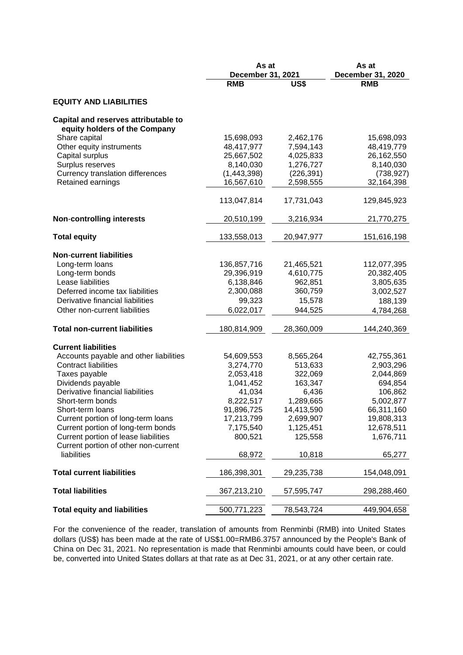|                                                | As at<br>December 31, 2021 |            | As at<br>December 31, 2020 |  |
|------------------------------------------------|----------------------------|------------|----------------------------|--|
|                                                | <b>RMB</b>                 | US\$       | <b>RMB</b>                 |  |
| <b>EQUITY AND LIABILITIES</b>                  |                            |            |                            |  |
| Capital and reserves attributable to           |                            |            |                            |  |
| equity holders of the Company<br>Share capital | 15,698,093                 | 2,462,176  | 15,698,093                 |  |
| Other equity instruments                       | 48,417,977                 | 7,594,143  | 48,419,779                 |  |
| Capital surplus                                | 25,667,502                 | 4,025,833  | 26,162,550                 |  |
| Surplus reserves                               | 8,140,030                  | 1,276,727  | 8,140,030                  |  |
| Currency translation differences               |                            |            |                            |  |
|                                                | (1,443,398)                | (226, 391) | (738, 927)                 |  |
| Retained earnings                              | 16,567,610                 | 2,598,555  | 32,164,398                 |  |
|                                                | 113,047,814                | 17,731,043 | 129,845,923                |  |
| <b>Non-controlling interests</b>               | 20,510,199                 | 3,216,934  | 21,770,275                 |  |
| <b>Total equity</b>                            | 133,558,013                | 20,947,977 | 151,616,198                |  |
| <b>Non-current liabilities</b>                 |                            |            |                            |  |
| Long-term loans                                | 136,857,716                | 21,465,521 | 112,077,395                |  |
| Long-term bonds                                | 29,396,919                 | 4,610,775  | 20,382,405                 |  |
| Lease liabilities                              | 6,138,846                  | 962,851    | 3,805,635                  |  |
| Deferred income tax liabilities                | 2,300,088                  | 360,759    | 3,002,527                  |  |
| Derivative financial liabilities               | 99,323                     | 15,578     |                            |  |
| Other non-current liabilities                  | 6,022,017                  | 944,525    | 188,139                    |  |
|                                                |                            |            | 4,784,268                  |  |
| <b>Total non-current liabilities</b>           | 180,814,909                | 28,360,009 | 144,240,369                |  |
| <b>Current liabilities</b>                     |                            |            |                            |  |
| Accounts payable and other liabilities         | 54,609,553                 | 8,565,264  | 42,755,361                 |  |
| <b>Contract liabilities</b>                    | 3,274,770                  | 513,633    | 2,903,296                  |  |
| Taxes payable                                  | 2,053,418                  | 322,069    | 2,044,869                  |  |
| Dividends payable                              | 1,041,452                  | 163,347    | 694,854                    |  |
| Derivative financial liabilities               | 41,034                     | 6,436      | 106,862                    |  |
| Short-term bonds                               | 8,222,517                  | 1,289,665  | 5,002,877                  |  |
| Short-term loans                               | 91,896,725                 | 14,413,590 | 66,311,160                 |  |
| Current portion of long-term loans             | 17,213,799                 | 2,699,907  | 19,808,313                 |  |
| Current portion of long-term bonds             | 7,175,540                  | 1,125,451  | 12,678,511                 |  |
| Current portion of lease liabilities           | 800,521                    | 125,558    | 1,676,711                  |  |
| Current portion of other non-current           |                            |            |                            |  |
| liabilities                                    | 68,972                     | 10,818     | 65,277                     |  |
| <b>Total current liabilities</b>               | 186,398,301                | 29,235,738 | 154,048,091                |  |
| <b>Total liabilities</b>                       | 367,213,210                | 57,595,747 | 298,288,460                |  |
| <b>Total equity and liabilities</b>            | 500,771,223                | 78,543,724 | 449,904,658                |  |
|                                                |                            |            |                            |  |

For the convenience of the reader, translation of amounts from Renminbi (RMB) into United States dollars (US\$) has been made at the rate of US\$1.00=RMB6.3757 announced by the People's Bank of China on Dec 31, 2021. No representation is made that Renminbi amounts could have been, or could be, converted into United States dollars at that rate as at Dec 31, 2021, or at any other certain rate.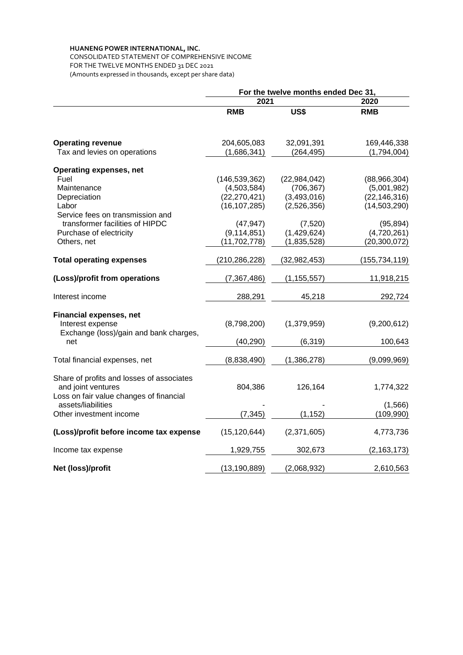## **HUANENG POWER INTERNATIONAL, INC.**

CONSOLIDATED STATEMENT OF COMPREHENSIVE INCOME FOR THE TWELVE MONTHS ENDED 31 DEC 2021 (Amounts expressed in thousands, except per share data)

|                                               | For the twelve months ended Dec 31, |                |                 |  |
|-----------------------------------------------|-------------------------------------|----------------|-----------------|--|
|                                               | 2021                                |                | 2020            |  |
|                                               | <b>RMB</b>                          | US\$           | <b>RMB</b>      |  |
| <b>Operating revenue</b>                      | 204,605,083                         | 32,091,391     | 169,446,338     |  |
| Tax and levies on operations                  | (1,686,341)                         | (264, 495)     | (1,794,004)     |  |
| <b>Operating expenses, net</b>                |                                     |                |                 |  |
| Fuel                                          | (146, 539, 362)                     | (22, 984, 042) | (88,966,304)    |  |
| Maintenance                                   | (4,503,584)                         | (706, 367)     | (5,001,982)     |  |
| Depreciation                                  | (22, 270, 421)                      | (3,493,016)    | (22, 146, 316)  |  |
| Labor                                         | (16, 107, 285)                      | (2,526,356)    | (14,503,290)    |  |
| Service fees on transmission and              |                                     |                |                 |  |
| transformer facilities of HIPDC               | (47, 947)                           | (7,520)        | (95, 894)       |  |
| Purchase of electricity                       | (9, 114, 851)                       | (1,429,624)    | (4,720,261)     |  |
| Others, net                                   | (11, 702, 778)                      | (1,835,528)    | (20, 300, 072)  |  |
| <b>Total operating expenses</b>               | (210, 286, 228)                     | (32, 982, 453) | (155, 734, 119) |  |
| (Loss)/profit from operations                 | (7,367,486)                         | (1, 155, 557)  | 11,918,215      |  |
| Interest income                               | 288,291                             | 45,218         | 292,724         |  |
|                                               |                                     |                |                 |  |
| <b>Financial expenses, net</b>                |                                     |                |                 |  |
| Interest expense                              | (8,798,200)                         | (1,379,959)    | (9,200,612)     |  |
| Exchange (loss)/gain and bank charges,<br>net | (40, 290)                           | (6, 319)       | 100,643         |  |
|                                               |                                     |                |                 |  |
| Total financial expenses, net                 | (8,838,490)                         | (1,386,278)    | (9,099,969)     |  |
| Share of profits and losses of associates     |                                     |                |                 |  |
| and joint ventures                            | 804,386                             | 126,164        | 1,774,322       |  |
| Loss on fair value changes of financial       |                                     |                |                 |  |
| assets/liabilities                            |                                     |                | (1, 566)        |  |
| Other investment income                       | (7, 345)                            | (1, 152)       | (109, 990)      |  |
| (Loss)/profit before income tax expense       | (15, 120, 644)                      | (2,371,605)    | 4,773,736       |  |
| Income tax expense                            | 1,929,755                           | 302,673        | (2, 163, 173)   |  |
| Net (loss)/profit                             | (13, 190, 889)                      | (2,068,932)    | 2,610,563       |  |